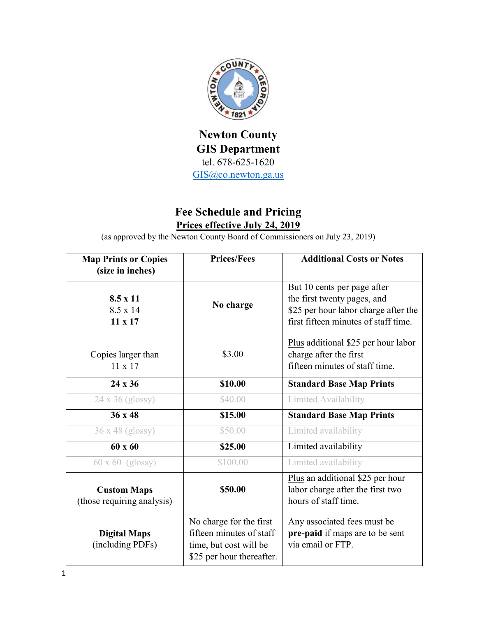

**Newton County GIS Department** tel. 678-625-1620 [GIS@co.newton.ga.us](mailto:GIS@co.newton.ga.us)

## **Fee Schedule and Pricing Prices effective July 24, 2019**

(as approved by the Newton County Board of Commissioners on July 23, 2019)

| <b>Map Prints or Copies</b><br>(size in inches)  | <b>Prices/Fees</b>                                                                                         | <b>Additional Costs or Notes</b>                                                                                                           |
|--------------------------------------------------|------------------------------------------------------------------------------------------------------------|--------------------------------------------------------------------------------------------------------------------------------------------|
| $8.5 \times 11$<br>8.5 x 14<br>$11 \times 17$    | No charge                                                                                                  | But 10 cents per page after<br>the first twenty pages, and<br>\$25 per hour labor charge after the<br>first fifteen minutes of staff time. |
| Copies larger than<br>$11 \times 17$             | \$3.00                                                                                                     | Plus additional \$25 per hour labor<br>charge after the first<br>fifteen minutes of staff time.                                            |
| $24 \times 36$                                   | \$10.00                                                                                                    | <b>Standard Base Map Prints</b>                                                                                                            |
| $24 \times 36$ (glossy)                          | \$40.00                                                                                                    | <b>Limited Availability</b>                                                                                                                |
| 36 x 48                                          | \$15.00                                                                                                    | <b>Standard Base Map Prints</b>                                                                                                            |
| 36 x 48 (glossy)                                 | \$50.00                                                                                                    | Limited availability                                                                                                                       |
| $60 \times 60$                                   | \$25.00                                                                                                    | Limited availability                                                                                                                       |
| $60 \times 60$ (glossy)                          | \$100.00                                                                                                   | Limited availability                                                                                                                       |
| <b>Custom Maps</b><br>(those requiring analysis) | \$50.00                                                                                                    | Plus an additional \$25 per hour<br>labor charge after the first two<br>hours of staff time.                                               |
| <b>Digital Maps</b><br>(including PDFs)          | No charge for the first<br>fifteen minutes of staff<br>time, but cost will be<br>\$25 per hour thereafter. | Any associated fees must be<br>pre-paid if maps are to be sent<br>via email or FTP.                                                        |